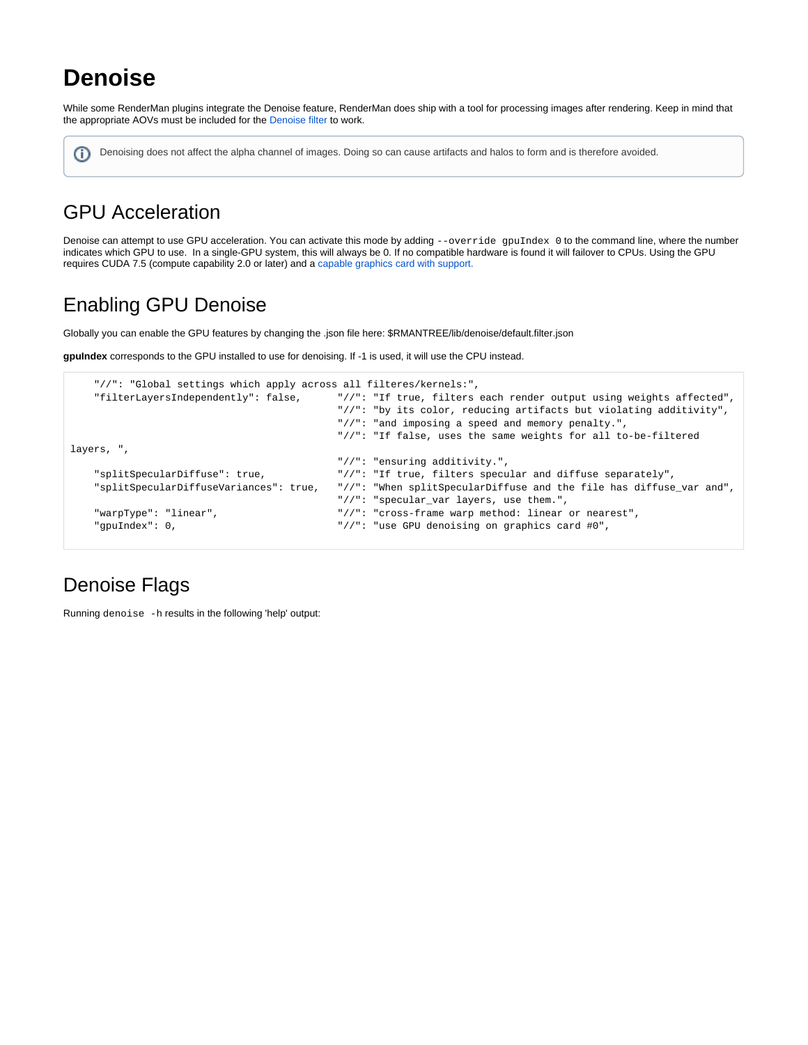# **Denoise**

While some RenderMan plugins integrate the Denoise feature, RenderMan does ship with a tool for processing images after rendering. Keep in mind that the appropriate AOVs must be included for the [Denoise filter](https://rmanwiki.pixar.com/display/REN/Denoising) to work.

Denoising does not affect the alpha channel of images. Doing so can cause artifacts and halos to form and is therefore avoided.⋒

# GPU Acceleration

Denoise can attempt to use GPU acceleration. You can activate this mode by adding --override gpuIndex 0 to the command line, where the number indicates which GPU to use. In a single-GPU system, this will always be 0. If no compatible hardware is found it will failover to CPUs. Using the GPU requires CUDA 7.5 (compute capability 2.0 or later) and a [capable graphics card with support.](https://developer.nvidia.com/cuda-gpus)

## Enabling GPU Denoise

Globally you can enable the GPU features by changing the .json file here: \$RMANTREE/lib/denoise/default.filter.json

**gpuIndex** corresponds to the GPU installed to use for denoising. If -1 is used, it will use the CPU instead.

```
 "//": "Global settings which apply across all filteres/kernels:",
    "filterLayersIndependently": false, "//": "If true, filters each render output using weights affected",
                                           "//": "by its color, reducing artifacts but violating additivity",
                                           "//": "and imposing a speed and memory penalty.",
                                           "//": "If false, uses the same weights for all to-be-filtered 
layers, ",
                                           "//": "ensuring additivity.",
    "splitSpecularDiffuse": true, "//": "If true, filters specular and diffuse separately",
    "splitSpecularDiffuseVariances": true, "//": "When splitSpecularDiffuse and the file has diffuse_var and",
                                           "//": "specular_var layers, use them.",
    "warpType": "linear", "//": "cross-frame warp method: linear or nearest",
    "gpuIndex": 0, "//": "use GPU denoising on graphics card #0",
```
## Denoise Flags

Running denoise -h results in the following 'help' output: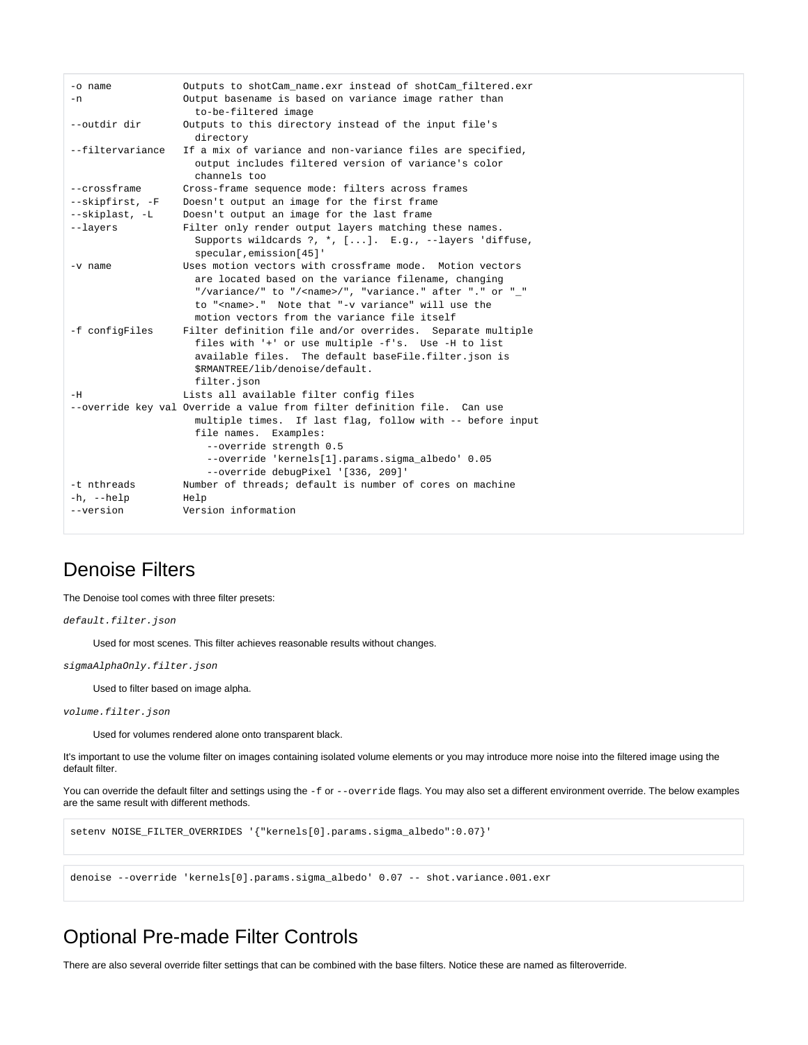```
-o name Outputs to shotCam_name.exr instead of shotCam_filtered.exr
-n Output basename is based on variance image rather than
                    to-be-filtered image
--outdir dir Outputs to this directory instead of the input file's
                   directory
--filtervariance If a mix of variance and non-variance files are specified,
                   output includes filtered version of variance's color
                    channels too
--crossframe Cross-frame sequence mode: filters across frames
--skipfirst, -F Doesn't output an image for the first frame
--skiplast, -L Doesn't output an image for the last frame
--layers Filter only render output layers matching these names.
                    Supports wildcards ?, *, [...]. E.g., --layers 'diffuse,
                    specular,emission[45]'
-v name Uses motion vectors with crossframe mode. Motion vectors
                    are located based on the variance filename, changing
                    "/variance/" to "/<name>/", "variance." after "." or "_"
                    to "<name>." Note that "-v variance" will use the
                    motion vectors from the variance file itself
-f configFiles Filter definition file and/or overrides. Separate multiple
                    files with '+' or use multiple -f's. Use -H to list
                    available files. The default baseFile.filter.json is
                    $RMANTREE/lib/denoise/default.
                    filter.json
-H Lists all available filter config files
--override key val Override a value from filter definition file. Can use
                    multiple times. If last flag, follow with -- before input
                    file names. Examples:
                      --override strength 0.5
                      --override 'kernels[1].params.sigma_albedo' 0.05
                      --override debugPixel '[336, 209]'
-t nthreads Number of threads; default is number of cores on machine
-h, --help Help
--version Version information
```
#### Denoise Filters

The Denoise tool comes with three filter presets:

default.filter.json

Used for most scenes. This filter achieves reasonable results without changes.

sigmaAlphaOnly.filter.json

Used to filter based on image alpha.

volume.filter.json

Used for volumes rendered alone onto transparent black.

It's important to use the volume filter on images containing isolated volume elements or you may introduce more noise into the filtered image using the default filter.

You can override the default filter and settings using the -f or --override flags. You may also set a different environment override. The below examples are the same result with different methods.

setenv NOISE\_FILTER\_OVERRIDES '{"kernels[0].params.sigma\_albedo":0.07}'

denoise --override 'kernels[0].params.sigma\_albedo' 0.07 -- shot.variance.001.exr

#### Optional Pre-made Filter Controls

There are also several override filter settings that can be combined with the base filters. Notice these are named as filteroverride.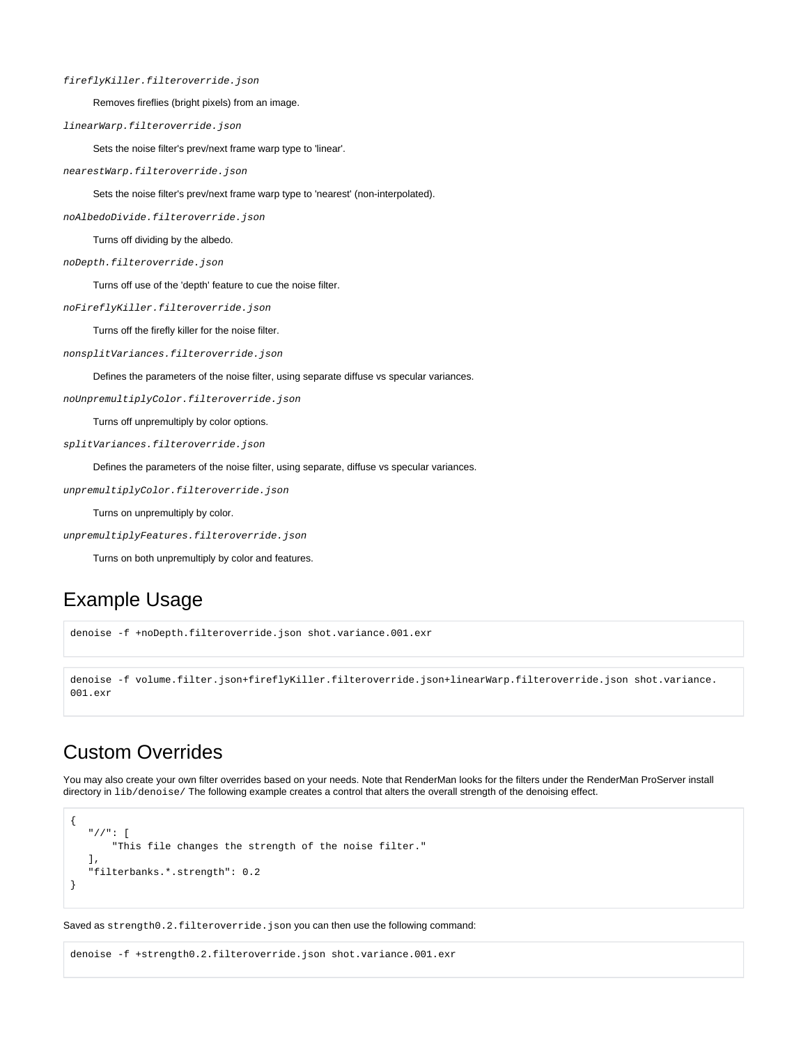#### fireflyKiller.filteroverride.json

Removes fireflies (bright pixels) from an image.

linearWarp.filteroverride.json

Sets the noise filter's prev/next frame warp type to 'linear'.

nearestWarp.filteroverride.json

Sets the noise filter's prev/next frame warp type to 'nearest' (non-interpolated).

noAlbedoDivide.filteroverride.json

Turns off dividing by the albedo.

noDepth.filteroverride.json

Turns off use of the 'depth' feature to cue the noise filter.

noFireflyKiller.filteroverride.json

Turns off the firefly killer for the noise filter.

nonsplitVariances.filteroverride.json

Defines the parameters of the noise filter, using separate diffuse vs specular variances.

noUnpremultiplyColor.filteroverride.json

Turns off unpremultiply by color options.

splitVariances.filteroverride.json

Defines the parameters of the noise filter, using separate, diffuse vs specular variances.

unpremultiplyColor.filteroverride.json

Turns on unpremultiply by color.

unpremultiplyFeatures.filteroverride.json

Turns on both unpremultiply by color and features.

#### Example Usage

denoise -f +noDepth.filteroverride.json shot.variance.001.exr

```
denoise -f volume.filter.json+fireflyKiller.filteroverride.json+linearWarp.filteroverride.json shot.variance.
001.exr
```
#### Custom Overrides

You may also create your own filter overrides based on your needs. Note that RenderMan looks for the filters under the RenderMan ProServer install directory in lib/denoise/ The following example creates a control that alters the overall strength of the denoising effect.

```
{
    "//": [
        "This file changes the strength of the noise filter."
    ],
    "filterbanks.*.strength": 0.2
}
```
Saved as strength0.2.filteroverride.json you can then use the following command:

denoise -f +strength0.2.filteroverride.json shot.variance.001.exr